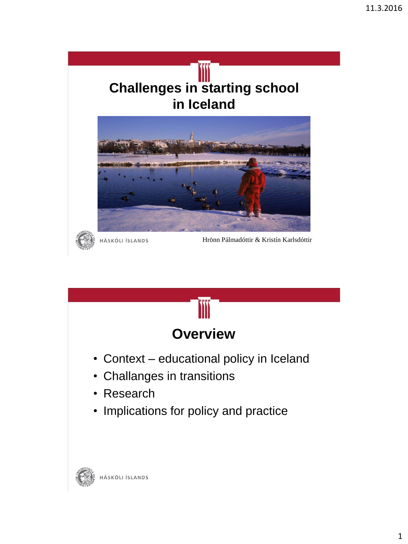



HÁSKÓLI ÍSLANDS

Hrönn Pálmadóttir & Kristín Karlsdóttir

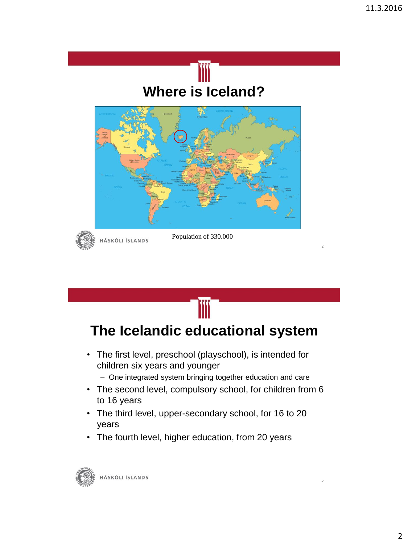

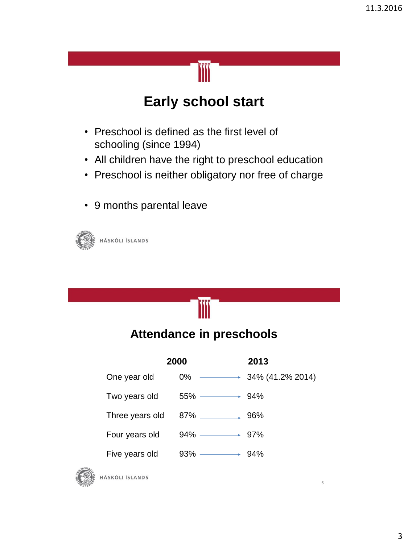## **Early school start**

- Preschool is defined as the first level of schooling (since 1994)
- All children have the right to preschool education
- Preschool is neither obligatory nor free of charge
- 9 months parental leave



| <b>Attendance in preschools</b> |                 |                                 |                                    |  |
|---------------------------------|-----------------|---------------------------------|------------------------------------|--|
|                                 | 2000            |                                 | 2013                               |  |
|                                 | One year old    | 0%                              | $\longrightarrow$ 34% (41.2% 2014) |  |
|                                 | Two years old   | $55\%$ $\longrightarrow$ 94%    |                                    |  |
|                                 | Three years old |                                 |                                    |  |
|                                 | Four years old  | $94\%$ $\longrightarrow$ 97%    |                                    |  |
|                                 | Five years old  | $93\%$ $\longrightarrow$ $94\%$ |                                    |  |
| <b>JERSITA</b>                  |                 |                                 |                                    |  |



HÁSKÓLI ÍSLANDS

6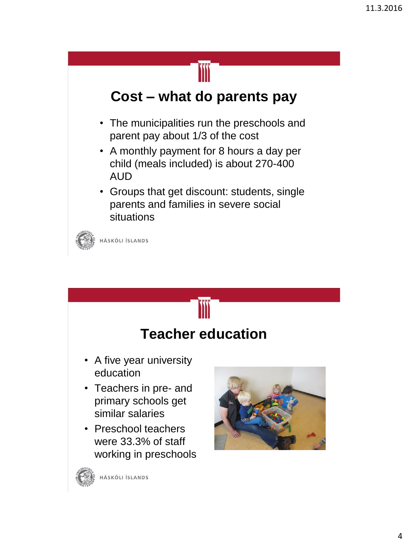

### **Cost – what do parents pay**

- The municipalities run the preschools and parent pay about 1/3 of the cost
- A monthly payment for 8 hours a day per child (meals included) is about 270-400 AUD
- Groups that get discount: students, single parents and families in severe social situations



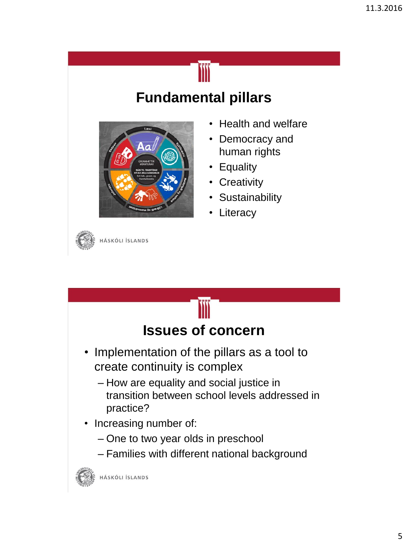## **Fundamental pillars**



- Health and welfare
- Democracy and human rights
- Equality
- Creativity
- Sustainability
- Literacy

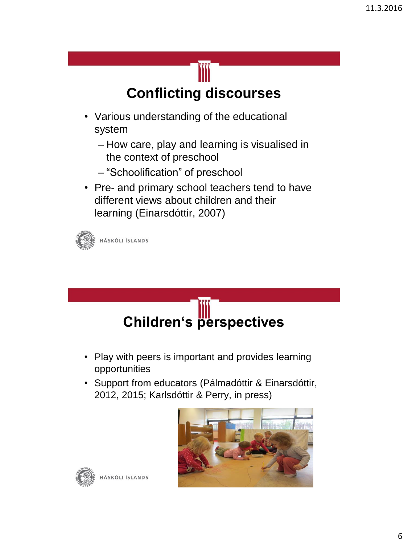# **Conflicting discourses**

- Various understanding of the educational system
	- How care, play and learning is visualised in the context of preschool
	- "Schoolification" of preschool
- Pre- and primary school teachers tend to have different views about children and their learning (Einarsdóttir, 2007)



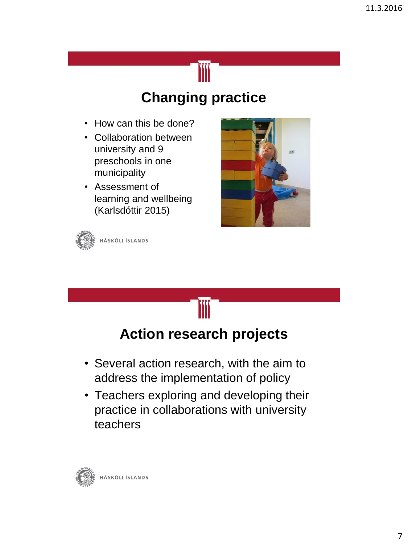## **Changing practice**

- How can this be done?
- Collaboration between university and 9 preschools in one municipality
- Assessment of learning and wellbeing (Karlsdóttir 2015)





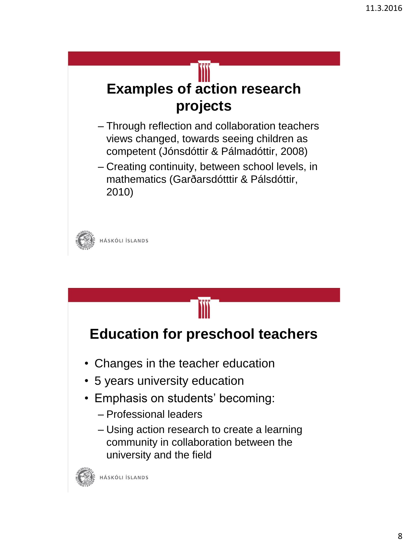# **Examples of action research projects**

- Through reflection and collaboration teachers views changed, towards seeing children as competent (Jónsdóttir & Pálmadóttir, 2008)
- Creating continuity, between school levels, in mathematics (Garðarsdótttir & Pálsdóttir, 2010)